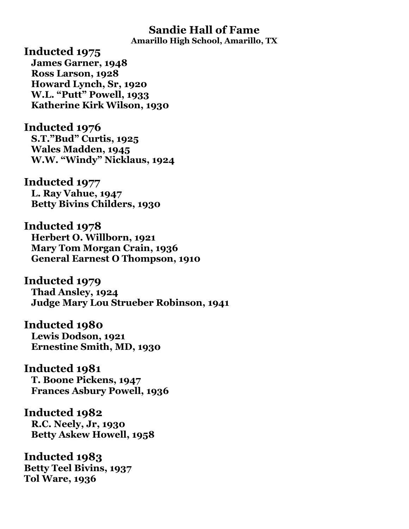## **Sandie Hall of Fame**

**Amarillo High School, Amarillo, TX**

**Inducted 1975 James Garner, 1948 Ross Larson, 1928 Howard Lynch, Sr, 1920 W.L. "Putt" Powell, 1933 Katherine Kirk Wilson, 1930**

**Inducted 1976 S.T."Bud" Curtis, 1925 Wales Madden, 1945 W.W. "Windy" Nicklaus, 1924**

**Inducted 1977 L. Ray Vahue, 1947 Betty Bivins Childers, 1930**

**Inducted 1978 Herbert O. Willborn, 1921 Mary Tom Morgan Crain, 1936 General Earnest O Thompson, 1910**

**Inducted 1979 Thad Ansley, 1924 Judge Mary Lou Strueber Robinson, 1941**

**Inducted 1980 Lewis Dodson, 1921 Ernestine Smith, MD, 1930**

**Inducted 1981 T. Boone Pickens, 1947 Frances Asbury Powell, 1936**

**Inducted 1982 R.C. Neely, Jr, 1930 Betty Askew Howell, 1958**

**Inducted 1983 Betty Teel Bivins, 1937 Tol Ware, 1936**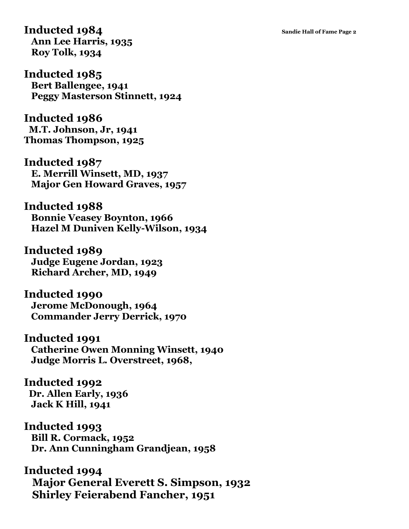**Inducted 1984 Sandie Hall of Fame Page 2 Ann Lee Harris, 1935 Roy Tolk, 1934**

**Inducted 1985 Bert Ballengee, 1941 Peggy Masterson Stinnett, 1924**

**Inducted 1986 M.T. Johnson, Jr, 1941 Thomas Thompson, 1925**

**Inducted 1987 E. Merrill Winsett, MD, 1937 Major Gen Howard Graves, 1957**

**Inducted 1988 Bonnie Veasey Boynton, 1966 Hazel M Duniven Kelly-Wilson, 1934**

**Inducted 1989 Judge Eugene Jordan, 1923 Richard Archer, MD, 1949**

**Inducted 1990 Jerome McDonough, 1964 Commander Jerry Derrick, 1970**

**Inducted 1991 Catherine Owen Monning Winsett, 1940 Judge Morris L. Overstreet, 1968,**

**Inducted 1992 Dr. Allen Early, 1936 Jack K Hill, 1941**

**Inducted 1993 Bill R. Cormack, 1952 Dr. Ann Cunningham Grandjean, 1958**

**Inducted 1994 Major General Everett S. Simpson, 1932 Shirley Feierabend Fancher, 1951**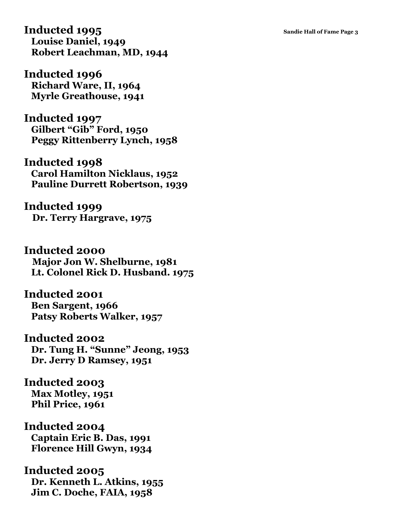**Inducted 1995 Sandie Hall of Fame Page 3 Louise Daniel, 1949 Robert Leachman, MD, 1944**

**Inducted 1996 Richard Ware, II, 1964 Myrle Greathouse, 1941**

**Inducted 1997 Gilbert "Gib" Ford, 1950 Peggy Rittenberry Lynch, 1958**

**Inducted 1998 Carol Hamilton Nicklaus, 1952 Pauline Durrett Robertson, 1939**

**Inducted 1999 Dr. Terry Hargrave, 1975**

**Inducted 2000 Major Jon W. Shelburne, 1981 Lt. Colonel Rick D. Husband. 1975**

**Inducted 2001 Ben Sargent, 1966 Patsy Roberts Walker, 1957**

**Inducted 2002 Dr. Tung H. "Sunne" Jeong, 1953 Dr. Jerry D Ramsey, 1951**

**Inducted 2003 Max Motley, 1951 Phil Price, 1961**

**Inducted 2004 Captain Eric B. Das, 1991 Florence Hill Gwyn, 1934**

**Inducted 2005 Dr. Kenneth L. Atkins, 1955 Jim C. Doche, FAIA, 1958**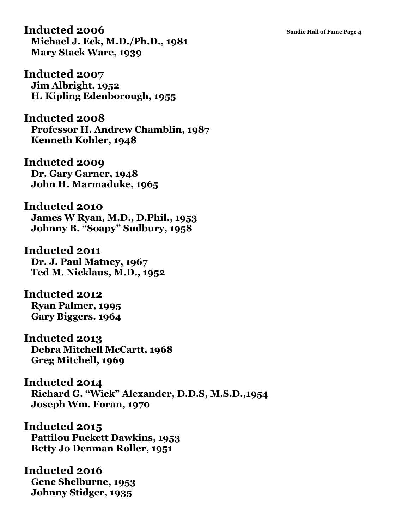**Inducted 2006 Sandie Hall of Fame Page 4 Michael J. Eck, M.D./Ph.D., 1981 Mary Stack Ware, 1939**

**Inducted 2007 Jim Albright. 1952 H. Kipling Edenborough, 1955**

**Inducted 2008 Professor H. Andrew Chamblin, 1987 Kenneth Kohler, 1948**

**Inducted 2009 Dr. Gary Garner, 1948 John H. Marmaduke, 1965**

**Inducted 2010 James W Ryan, M.D., D.Phil., 1953 Johnny B. "Soapy" Sudbury, 1958**

**Inducted 2011 Dr. J. Paul Matney, 1967 Ted M. Nicklaus, M.D., 1952**

**Inducted 2012 Ryan Palmer, 1995 Gary Biggers. 1964**

**Inducted 2013 Debra Mitchell McCartt, 1968 Greg Mitchell, 1969**

**Inducted 2014 Richard G. "Wick" Alexander, D.D.S, M.S.D.,1954 Joseph Wm. Foran, 1970**

**Inducted 2015 Pattilou Puckett Dawkins, 1953 Betty Jo Denman Roller, 1951**

**Inducted 2016 Gene Shelburne, 1953 Johnny Stidger, 1935**